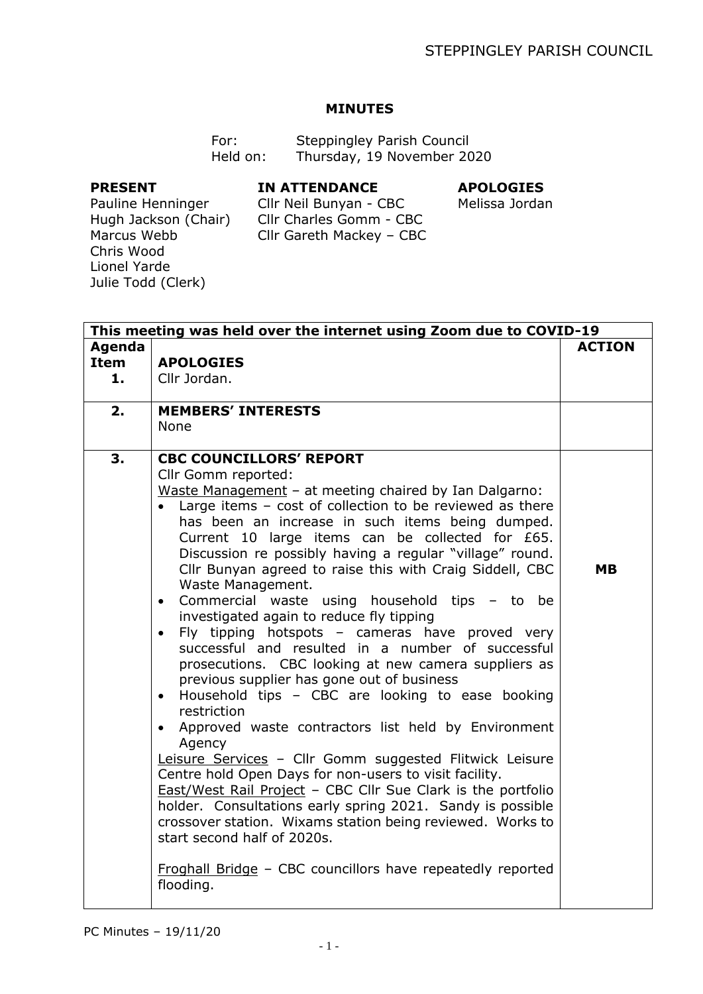## **MINUTES**

| For:     | Steppingley Parish Council |  |
|----------|----------------------------|--|
| Held on: | Thursday, 19 November 2020 |  |

## **PRESENT**

## **IN ATTENDANCE**

## **APOLOGIES**

Cllr Neil Bunyan - CBC Cllr Charles Gomm - CBC Cllr Gareth Mackey – CBC

Melissa Jordan

Pauline Henninger Hugh Jackson (Chair) Marcus Webb Chris Wood Lionel Yarde Julie Todd (Clerk)

| This meeting was held over the internet using Zoom due to COVID-19 |                                                                                                                                                                                                                                                                                                                                                                                                                                                                                                                                                                                                                                                                                                                                                                                                                                                                                                                                                                                                                                                                                                                                                                                                                                                                                                                                 |               |
|--------------------------------------------------------------------|---------------------------------------------------------------------------------------------------------------------------------------------------------------------------------------------------------------------------------------------------------------------------------------------------------------------------------------------------------------------------------------------------------------------------------------------------------------------------------------------------------------------------------------------------------------------------------------------------------------------------------------------------------------------------------------------------------------------------------------------------------------------------------------------------------------------------------------------------------------------------------------------------------------------------------------------------------------------------------------------------------------------------------------------------------------------------------------------------------------------------------------------------------------------------------------------------------------------------------------------------------------------------------------------------------------------------------|---------------|
| Agenda<br><b>Item</b><br>1.                                        | <b>APOLOGIES</b><br>Cllr Jordan.                                                                                                                                                                                                                                                                                                                                                                                                                                                                                                                                                                                                                                                                                                                                                                                                                                                                                                                                                                                                                                                                                                                                                                                                                                                                                                | <b>ACTION</b> |
| 2.                                                                 | <b>MEMBERS' INTERESTS</b><br>None                                                                                                                                                                                                                                                                                                                                                                                                                                                                                                                                                                                                                                                                                                                                                                                                                                                                                                                                                                                                                                                                                                                                                                                                                                                                                               |               |
| 3.                                                                 | <b>CBC COUNCILLORS' REPORT</b><br>Cllr Gomm reported:<br>Waste Management - at meeting chaired by Ian Dalgarno:<br>• Large items - cost of collection to be reviewed as there<br>has been an increase in such items being dumped.<br>Current 10 large items can be collected for £65.<br>Discussion re possibly having a regular "village" round.<br>Cllr Bunyan agreed to raise this with Craig Siddell, CBC<br>Waste Management.<br>• Commercial waste using household tips - to be<br>investigated again to reduce fly tipping<br>• Fly tipping hotspots - cameras have proved very<br>successful and resulted in a number of successful<br>prosecutions. CBC looking at new camera suppliers as<br>previous supplier has gone out of business<br>Household tips - CBC are looking to ease booking<br>$\bullet$<br>restriction<br>• Approved waste contractors list held by Environment<br>Agency<br>Leisure Services - Cllr Gomm suggested Flitwick Leisure<br>Centre hold Open Days for non-users to visit facility.<br>East/West Rail Project - CBC Cllr Sue Clark is the portfolio<br>holder. Consultations early spring 2021. Sandy is possible<br>crossover station. Wixams station being reviewed. Works to<br>start second half of 2020s.<br>Froghall Bridge - CBC councillors have repeatedly reported<br>flooding. | <b>MB</b>     |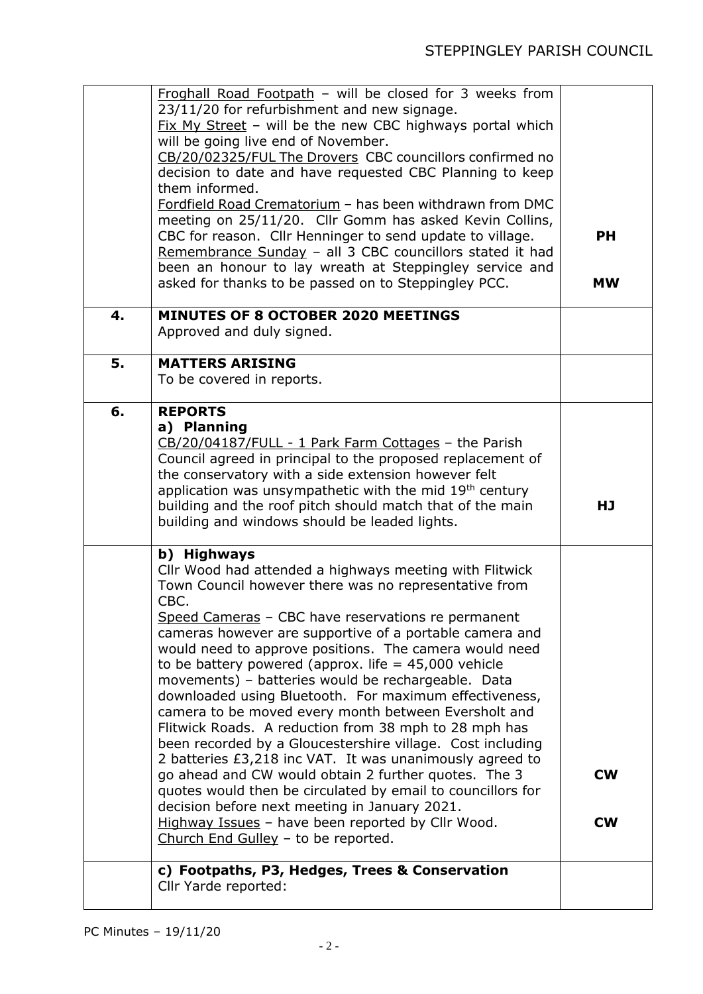|    | Froghall Road Footpath - will be closed for 3 weeks from<br>23/11/20 for refurbishment and new signage.<br>$Fix$ My Street - will be the new CBC highways portal which<br>will be going live end of November.<br>CB/20/02325/FUL The Drovers CBC councillors confirmed no                                                                                                                                                                                                                                                                                                                                                                                                                                                                                                                                                                                                                                                                                                                                                                                     |                        |
|----|---------------------------------------------------------------------------------------------------------------------------------------------------------------------------------------------------------------------------------------------------------------------------------------------------------------------------------------------------------------------------------------------------------------------------------------------------------------------------------------------------------------------------------------------------------------------------------------------------------------------------------------------------------------------------------------------------------------------------------------------------------------------------------------------------------------------------------------------------------------------------------------------------------------------------------------------------------------------------------------------------------------------------------------------------------------|------------------------|
|    | decision to date and have requested CBC Planning to keep<br>them informed.<br>Fordfield Road Crematorium - has been withdrawn from DMC<br>meeting on 25/11/20. Cllr Gomm has asked Kevin Collins,<br>CBC for reason. Cllr Henninger to send update to village.<br>Remembrance Sunday - all 3 CBC councillors stated it had<br>been an honour to lay wreath at Steppingley service and                                                                                                                                                                                                                                                                                                                                                                                                                                                                                                                                                                                                                                                                         | <b>PH</b><br><b>MW</b> |
|    | asked for thanks to be passed on to Steppingley PCC.                                                                                                                                                                                                                                                                                                                                                                                                                                                                                                                                                                                                                                                                                                                                                                                                                                                                                                                                                                                                          |                        |
| 4. | MINUTES OF 8 OCTOBER 2020 MEETINGS<br>Approved and duly signed.                                                                                                                                                                                                                                                                                                                                                                                                                                                                                                                                                                                                                                                                                                                                                                                                                                                                                                                                                                                               |                        |
| 5. | <b>MATTERS ARISING</b><br>To be covered in reports.                                                                                                                                                                                                                                                                                                                                                                                                                                                                                                                                                                                                                                                                                                                                                                                                                                                                                                                                                                                                           |                        |
| 6. | <b>REPORTS</b><br>a) Planning<br>CB/20/04187/FULL - 1 Park Farm Cottages - the Parish<br>Council agreed in principal to the proposed replacement of<br>the conservatory with a side extension however felt<br>application was unsympathetic with the mid $19th$ century<br>building and the roof pitch should match that of the main<br>building and windows should be leaded lights.                                                                                                                                                                                                                                                                                                                                                                                                                                                                                                                                                                                                                                                                         | <b>HJ</b>              |
|    | b) Highways<br>Cllr Wood had attended a highways meeting with Flitwick<br>Town Council however there was no representative from<br>CBC.<br>Speed Cameras - CBC have reservations re permanent<br>cameras however are supportive of a portable camera and<br>would need to approve positions. The camera would need<br>to be battery powered (approx. life $=$ 45,000 vehicle<br>movements) - batteries would be rechargeable. Data<br>downloaded using Bluetooth. For maximum effectiveness,<br>camera to be moved every month between Eversholt and<br>Flitwick Roads. A reduction from 38 mph to 28 mph has<br>been recorded by a Gloucestershire village. Cost including<br>2 batteries £3,218 inc VAT. It was unanimously agreed to<br>go ahead and CW would obtain 2 further quotes. The 3<br>quotes would then be circulated by email to councillors for<br>decision before next meeting in January 2021.<br>Highway Issues - have been reported by Cllr Wood.<br>Church End Gulley - to be reported.<br>c) Footpaths, P3, Hedges, Trees & Conservation | <b>CW</b><br><b>CW</b> |
|    | Cllr Yarde reported:                                                                                                                                                                                                                                                                                                                                                                                                                                                                                                                                                                                                                                                                                                                                                                                                                                                                                                                                                                                                                                          |                        |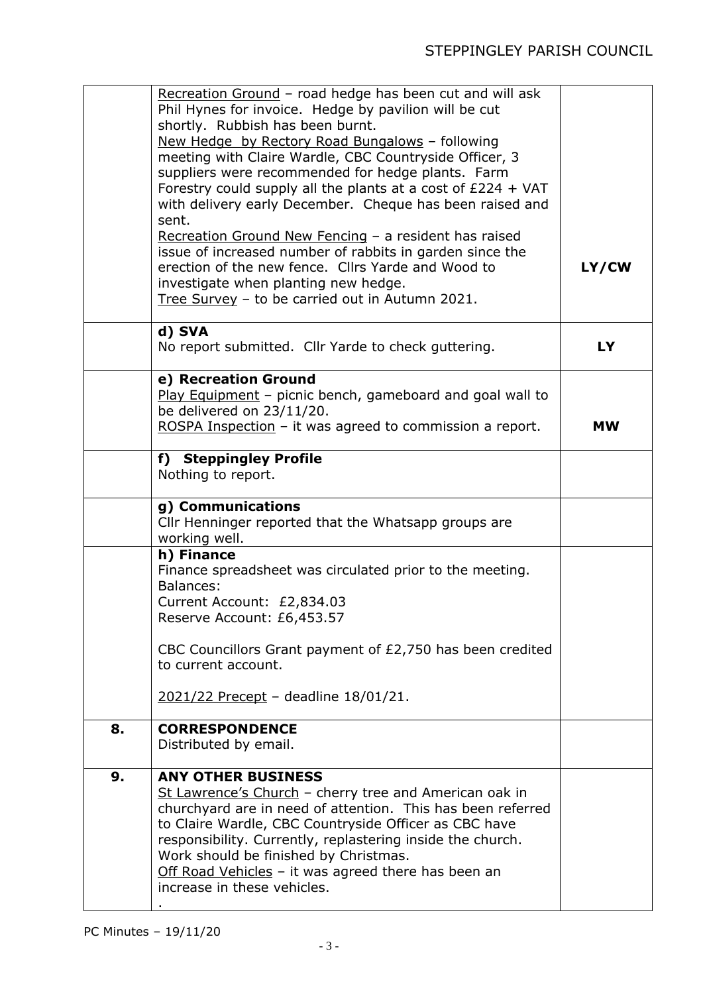|    | Recreation Ground - road hedge has been cut and will ask<br>Phil Hynes for invoice. Hedge by pavilion will be cut<br>shortly. Rubbish has been burnt.<br>New Hedge by Rectory Road Bungalows - following<br>meeting with Claire Wardle, CBC Countryside Officer, 3<br>suppliers were recommended for hedge plants. Farm<br>Forestry could supply all the plants at a cost of $£224 + VAT$<br>with delivery early December. Cheque has been raised and<br>sent.<br>Recreation Ground New Fencing - a resident has raised<br>issue of increased number of rabbits in garden since the<br>erection of the new fence. Cllrs Yarde and Wood to<br>investigate when planting new hedge.<br>Tree Survey - to be carried out in Autumn 2021. | LY/CW     |
|----|--------------------------------------------------------------------------------------------------------------------------------------------------------------------------------------------------------------------------------------------------------------------------------------------------------------------------------------------------------------------------------------------------------------------------------------------------------------------------------------------------------------------------------------------------------------------------------------------------------------------------------------------------------------------------------------------------------------------------------------|-----------|
|    | d) SVA<br>No report submitted. Cllr Yarde to check guttering.                                                                                                                                                                                                                                                                                                                                                                                                                                                                                                                                                                                                                                                                        | <b>LY</b> |
|    | e) Recreation Ground<br>Play Equipment - picnic bench, gameboard and goal wall to<br>be delivered on 23/11/20.<br>ROSPA Inspection - it was agreed to commission a report.                                                                                                                                                                                                                                                                                                                                                                                                                                                                                                                                                           | <b>MW</b> |
|    | f) Steppingley Profile<br>Nothing to report.                                                                                                                                                                                                                                                                                                                                                                                                                                                                                                                                                                                                                                                                                         |           |
|    | g) Communications<br>Cllr Henninger reported that the Whatsapp groups are<br>working well.                                                                                                                                                                                                                                                                                                                                                                                                                                                                                                                                                                                                                                           |           |
|    | h) Finance<br>Finance spreadsheet was circulated prior to the meeting.<br>Balances:<br>Current Account: £2,834.03<br>Reserve Account: £6,453.57                                                                                                                                                                                                                                                                                                                                                                                                                                                                                                                                                                                      |           |
|    | CBC Councillors Grant payment of £2,750 has been credited<br>to current account.                                                                                                                                                                                                                                                                                                                                                                                                                                                                                                                                                                                                                                                     |           |
|    | 2021/22 Precept - deadline 18/01/21.                                                                                                                                                                                                                                                                                                                                                                                                                                                                                                                                                                                                                                                                                                 |           |
| 8. | <b>CORRESPONDENCE</b><br>Distributed by email.                                                                                                                                                                                                                                                                                                                                                                                                                                                                                                                                                                                                                                                                                       |           |
| 9. | <b>ANY OTHER BUSINESS</b><br>St Lawrence's Church - cherry tree and American oak in<br>churchyard are in need of attention. This has been referred<br>to Claire Wardle, CBC Countryside Officer as CBC have<br>responsibility. Currently, replastering inside the church.<br>Work should be finished by Christmas.<br>Off Road Vehicles - it was agreed there has been an<br>increase in these vehicles.                                                                                                                                                                                                                                                                                                                             |           |